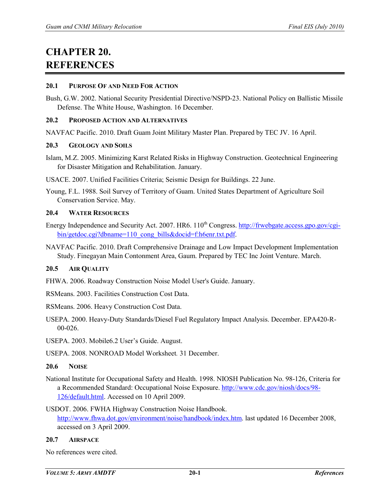# **CHAPTER 20. REFERENCES**

## **20.1 PURPOSE OF AND NEED FOR ACTION**

Bush, G.W. 2002. National Security Presidential Directive/NSPD-23. National Policy on Ballistic Missile Defense. The White House, Washington. 16 December.

## **20.2 PROPOSED ACTION AND ALTERNATIVES**

NAVFAC Pacific. 2010. Draft Guam Joint Military Master Plan. Prepared by TEC JV. 16 April.

## **20.3 GEOLOGY AND SOILS**

Islam, M.Z. 2005. Minimizing Karst Related Risks in Highway Construction. Geotechnical Engineering for Disaster Mitigation and Rehabilitation. January.

USACE. 2007. Unified Facilities Criteria; Seismic Design for Buildings. 22 June.

Young, F.L. 1988. Soil Survey of Territory of Guam. United States Department of Agriculture Soil Conservation Service. May.

## **20.4 WATER RESOURCES**

- Energy Independence and Security Act. 2007. HR6. 110<sup>th</sup> Congress[. http://frwebgate.access.gpo.gov/cgi](http://frwebgate.access.gpo.gov/cgi-bin/getdoc.cgi?dbname=110_cong_bills&docid=f:h6enr.txt.pdf)[bin/getdoc.cgi?dbname=110\\_cong\\_bills&docid=f:h6enr.txt.pdf.](http://frwebgate.access.gpo.gov/cgi-bin/getdoc.cgi?dbname=110_cong_bills&docid=f:h6enr.txt.pdf)
- NAVFAC Pacific. 2010. Draft Comprehensive Drainage and Low Impact Development Implementation Study. Finegayan Main Contonment Area, Gaum. Prepared by TEC Inc Joint Venture. March.

# **20.5 AIR QUALITY**

FHWA. 2006. Roadway Construction Noise Model User's Guide. January.

RSMeans. 2003. Facilities Construction Cost Data.

RSMeans. 2006. Heavy Construction Cost Data.

USEPA. 2000. Heavy-Duty Standards/Diesel Fuel Regulatory Impact Analysis. December. EPA420-R-00-026.

USEPA. 2003. Mobile6.2 User's Guide. August.

USEPA. 2008. NONROAD Model Worksheet*.* 31 December.

# **20.6 NOISE**

National Institute for Occupational Safety and Health. 1998. NIOSH Publication No. 98-126, Criteria for a Recommended Standard: Occupational Noise Exposure. [http://www.cdc.gov/niosh/docs/98-](http://www.cdc.gov/niosh/docs/98-126/default.html) [126/default.html.](http://www.cdc.gov/niosh/docs/98-126/default.html) Accessed on 10 April 2009.

USDOT. 2006. FWHA Highway Construction Noise Handbook. [http://www.fhwa.dot.gov/environment/noise/handbook/index.htm.](http://www.fhwa.dot.gov/environment/noise/handbook/index.htm) last updated 16 December 2008, accessed on 3 April 2009.

# **20.7 AIRSPACE**

No references were cited.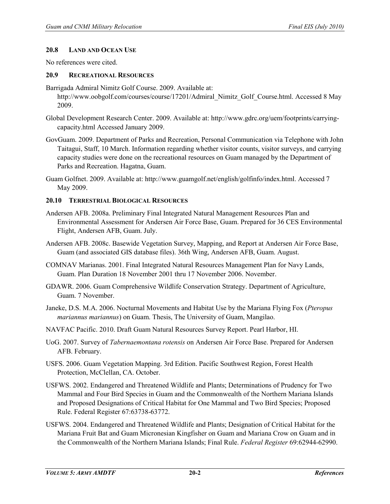#### **20.8 LAND AND OCEAN USE**

No references were cited.

#### **20.9 RECREATIONAL RESOURCES**

- Barrigada Admiral Nimitz Golf Course. 2009. Available at: http://www.oobgolf.com/courses/course/17201/Admiral\_Nimitz\_Golf\_Course.html. Accessed 8 May 2009.
- Global Development Research Center. 2009. Available at: http://www.gdrc.org/uem/footprints/carryingcapacity.html Accessed January 2009.
- GovGuam. 2009. Department of Parks and Recreation, Personal Communication via Telephone with John Taitagui, Staff, 10 March. Information regarding whether visitor counts, visitor surveys, and carrying capacity studies were done on the recreational resources on Guam managed by the Department of Parks and Recreation. Hagatna, Guam.
- Guam Golfnet. 2009. Available at: http://www.guamgolf.net/english/golfinfo/index.html. Accessed 7 May 2009.

#### **20.10 TERRESTRIAL BIOLOGICAL RESOURCES**

- Andersen AFB. 2008a. Preliminary Final Integrated Natural Management Resources Plan and Environmental Assessment for Andersen Air Force Base, Guam. Prepared for 36 CES Environmental Flight, Andersen AFB, Guam. July.
- Andersen AFB. 2008c. Basewide Vegetation Survey, Mapping, and Report at Andersen Air Force Base, Guam (and associated GIS database files). 36th Wing, Andersen AFB, Guam. August.
- COMNAV Marianas. 2001. Final Integrated Natural Resources Management Plan for Navy Lands, Guam. Plan Duration 18 November 2001 thru 17 November 2006. November.
- GDAWR. 2006. Guam Comprehensive Wildlife Conservation Strategy. Department of Agriculture, Guam. 7 November.
- Janeke, D.S. M.A. 2006. Nocturnal Movements and Habitat Use by the Mariana Flying Fox (*Pteropus mariannus mariannus*) on Guam. Thesis, The University of Guam, Mangilao.
- NAVFAC Pacific. 2010. Draft Guam Natural Resources Survey Report. Pearl Harbor, HI.
- UoG. 2007. Survey of *Tabernaemontana rotensis* on Andersen Air Force Base. Prepared for Andersen AFB. February.
- USFS. 2006. Guam Vegetation Mapping. 3rd Edition. Pacific Southwest Region, Forest Health Protection, McClellan, CA. October.
- USFWS. 2002. Endangered and Threatened Wildlife and Plants; Determinations of Prudency for Two Mammal and Four Bird Species in Guam and the Commonwealth of the Northern Mariana Islands and Proposed Designations of Critical Habitat for One Mammal and Two Bird Species; Proposed Rule. Federal Register 67:63738-63772.
- USFWS. 2004. Endangered and Threatened Wildlife and Plants; Designation of Critical Habitat for the Mariana Fruit Bat and Guam Micronesian Kingfisher on Guam and Mariana Crow on Guam and in the Commonwealth of the Northern Mariana Islands; Final Rule. *Federal Register* 69:62944-62990.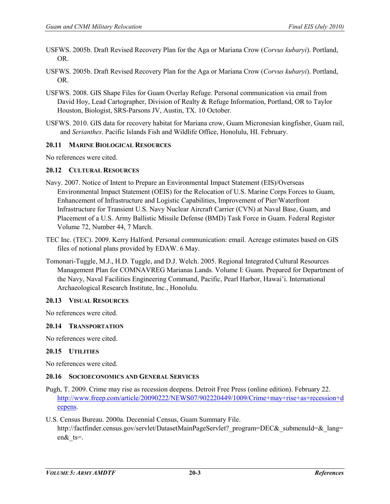- USFWS. 2005b. Draft Revised Recovery Plan for the Aga or Mariana Crow (*Corvus kubaryi*). Portland, OR.
- USFWS. 2005b. Draft Revised Recovery Plan for the Aga or Mariana Crow (*Corvus kubaryi*). Portland, OR.
- USFWS. 2008. GIS Shape Files for Guam Overlay Refuge. Personal communication via email from David Hoy, Lead Cartographer, Division of Realty & Refuge Information, Portland, OR to Taylor Houston, Biologist, SRS-Parsons JV, Austin, TX. 10 October.
- USFWS. 2010. GIS data for recovery habitat for Mariana crow, Guam Micronesian kingfisher, Guam rail, and *Serianthes*. Pacific Islands Fish and Wildlife Office, Honolulu, HI. February.

# **20.11 MARINE BIOLOGICAL RESOURCES**

No references were cited.

# **20.12 CULTURAL RESOURCES**

- Navy. 2007. Notice of Intent to Prepare an Environmental Impact Statement (EIS)/Overseas Environmental Impact Statement (OEIS) for the Relocation of U.S. Marine Corps Forces to Guam, Enhancement of Infrastructure and Logistic Capabilities, Improvement of Pier/Waterfront Infrastructure for Transient U.S. Navy Nuclear Aircraft Carrier (CVN) at Naval Base, Guam, and Placement of a U.S. Army Ballistic Missile Defense (BMD) Task Force in Guam. Federal Register Volume 72, Number 44, 7 March.
- TEC Inc. (TEC). 2009. Kerry Halford. Personal communication: email. Acreage estimates based on GIS files of notional plans provided by EDAW. 6 May.
- Tomonari-Tuggle, M.J., H.D. Tuggle, and D.J. Welch. 2005. Regional Integrated Cultural Resources Management Plan for COMNAVREG Marianas Lands. Volume I: Guam. Prepared for Department of the Navy, Naval Facilities Engineering Command, Pacific, Pearl Harbor, Hawai'i. International Archaeological Research Institute, Inc., Honolulu.

# **20.13 VISUAL RESOURCES**

No references were cited.

# **20.14 TRANSPORTATION**

No references were cited.

# **20.15 UTILITIES**

No references were cited.

# **20.16 SOCIOECONOMICS AND GENERAL SERVICES**

- Pugh, T. 2009. Crime may rise as recession deepens. Detroit Free Press (online edition). February 22. [http://www.freep.com/article/20090222/NEWS07/902220449/1009/Crime+may+rise+as+recession+d](http://www.freep.com/article/20090222/NEWS07/902220449/1009/Crime+may+rise+as+recession+deepens) [eepens.](http://www.freep.com/article/20090222/NEWS07/902220449/1009/Crime+may+rise+as+recession+deepens)
- U.S. Census Bureau. 2000a. Decennial Census, Guam Summary File. http://factfinder.census.gov/servlet/DatasetMainPageServlet? program=DEC& submenuId=& lang= en& ts=.